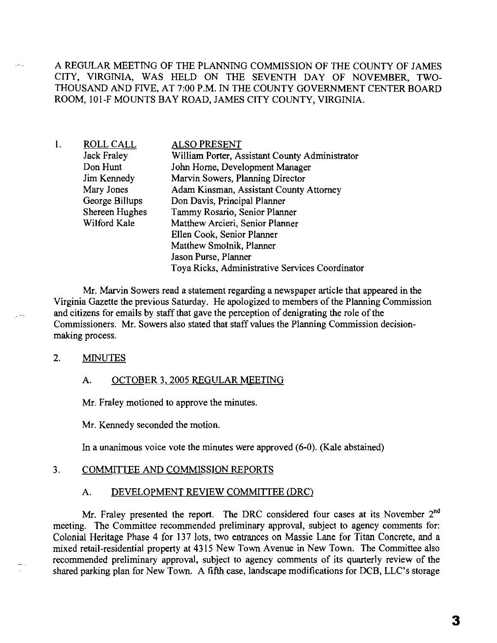A REGULAR MEETING OF THE PLANNING COMMISSION OF THE COUNTY OF JAMES CITY, VIRGINIA, WAS HELD ON THE SEVENTH DAY OF NOVEMBER, TWO-THOUSAND AND FIVE, AT 7:00 P.M. IN THE COUNTY GOVERNMENT CENTER BOARD ROOM, 101-F MOUNTS BAY ROAD, JAMES CITY COUNTY, VIRGINIA.

l. ROLLCALL Jack Fraley Don Hunt Jim Kennedy Mary Jones George Billups Shereen Hughes Wilford Kale ALSO PRESENT William Porter, Assistant County Administrator John Home, Development Manager Marvin Sowers, Planning Director Adam Kinsman, Assistant County Attorney Don Davis, Principal Planner Tammy Rosario, Senior Planner Matthew Arcieri, Senior Planner Ellen Cook, Senior Planner Matthew Smolnik, Planner Jason Purse, Planner Toya Ricks, Administrative Services Coordinator

Mr. Marvin Sowers read a statement regarding a newspaper article that appeared in the Virginia Gazette the previous Saturday. He apologized to members of the Planning Commission and citizens for emails by staff that gave the perception of denigrating the role of the Commissioners. Mr. Sowers also stated that staff values the Planning Commission decisionmaking process.

### 2. **MINUTES**

ж,

### A. OCTOBER 3. 2005 REGULAR MEETING

Mr. Fraley motioned to approve the minutes.

Mr. Kennedy seconded the motion.

In a unanimous voice vote the minutes were approved (6-0). (Kale abstained)

## 3. COMMITTEE AND COMMISSION REPORTS

## A. DEVELOPMENT REVIEW COMMITTEE (DRC)

Mr. Fraley presented the report. The DRC considered four cases at its November 2<sup>nd</sup> meeting. The Committee recommended preliminary approval, subject to agency comments for: Colonial Heritage Phase 4 for 137 lots, two entrances on Massie Lane for Titan Concrete, and a mixed retail-residential property at 4315 New Town Avenue in New Town. The Committee also recommended preliminary approval, subject to agency comments of its quarterly review of the shared parking plan for New Town. A fifth case, landscape modifications for DCB, LLC's storage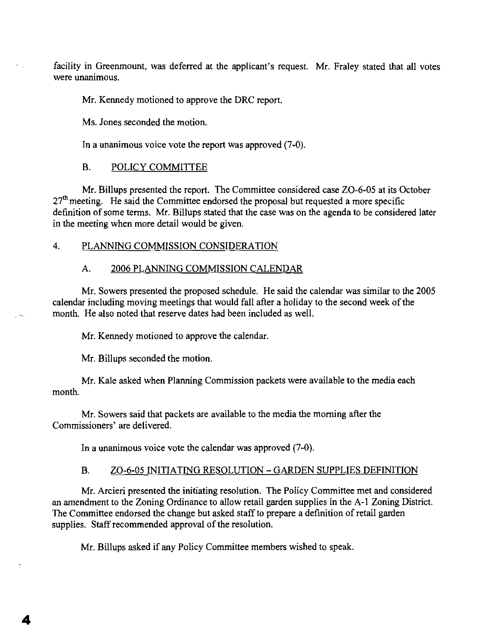facility in Greenmount, was deferred at the applicant's request. Mr. Fraley stated that all votes were unanimous.

Mr. Kennedy motioned to approve the DRC report.

Ms. Jones seconded the motion.

In a unanimous voice vote the report was approved (7-0).

# B. POLICY COMMITTEE

Mr. Billups presented the report. The Committee considered case ZO-6-05 at its October  $27<sup>th</sup>$  meeting. He said the Committee endorsed the proposal but requested a more specific definition of some terms. Mr. Billups stated that the case was on the agenda to be considered later in the meeting when more detail would be given.

# 4. PLANNING COMMISSION CONSIDERATION

### A. 2006 PLANNING COMMISSION CALENDAR

Mr. Sowers presented the proposed schedule. He said the calendar was similar to the 2005 calendar including moving meetings that would fall after a holiday to the second week of the month. He also noted that reserve dates had been included as well.

Mr. Kennedy motioned to approve the calendar.

Mr. Billups seconded the motion.

Mr. Kale asked when Planning Commission packets were available to the media each month.

Mr. Sowers said that packets are available to the media the morning after the Commissioners' are delivered.

In a unanimous voice vote the calendar was approved (7-0).

# B. **ZO-6-05 INITIATING RESOLUTION - GARDEN SUPPLIES DEFINITION**

Mr. Arcieri presented the initiating resolution. The Policy Committee met and considered an amendment to the Zoning Ordinance to allow retail garden supplies in the A-1 Zoning District. The Committee endorsed the change but asked staff to prepare a definition of retail garden supplies. Staff recommended approval of the resolution.

Mr. Billups asked if any Policy Committee members wished to speak.

4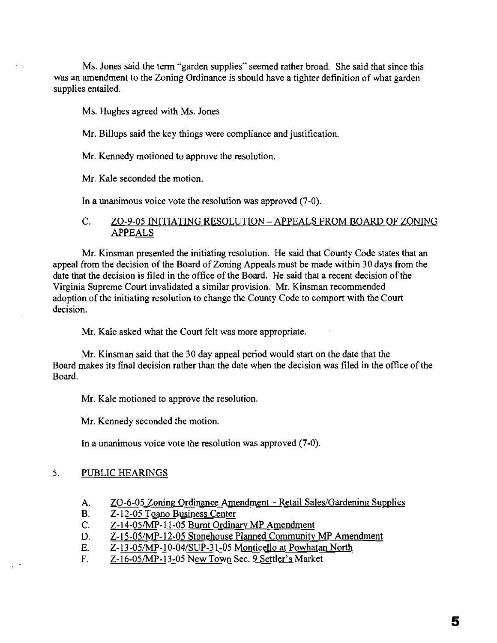Ms. Jones said the term "garden supplies" seemed rather broad. She said that since this was an amendment to the Zoning Ordinance is should have a tighter definition of what garden supplies entailed.

Ms. Hughes agreed with Ms. Jones

Mr. Billups said the key things were compliance and justification.

Mr. Kennedy motioned to approve the resolution.

Mr. Kale seconded the motion.

In a unanimous voice vote the resolution was approved (7-0).

# C. ZO-9-05 INITIATING RESOLUTION – APPEALS FROM BOARD OF ZONING APPEALS

Mr. Kinsman presented the initiating resolution. He said that County Code states that an appeal from the decision of the Board of Zoning Appeals must be made within 30 days from the date that the decision is filed in the office of the Board. He said that a recent decision of the Virginia Supreme Court invalidated a similar provision. Mr. Kinsman recommended adoption of the initiating resolution to change the County Code to comport with the Court decision.

Mr. Kale asked what the Court felt was more appropriate.

Mr. Kinsman said that the 30 day appeal period would start on the date that the Board makes its final decision rather than the date when the decision was filed in the office of the Board.

Mr. Kale motioned to approve the resolution.

Mr. Kennedy seconded the motion.

In a unanimous voice vote the resolution was approved (7-0).

## 5. PUBLIC HEARINGS

- A. ZO-6-05 Zoning Ordinance Amendment Retail Sales/Gardening Supplies
- B. Z-12-05 Toano Business Center
- C. Z-14-05/MP-ll-05 Burnt Ordinary MP Amendment
- D. Z-15-05/MP-12-05 Stonehouse Planned Community MP Amendment
- E. Z-13-05/MP-10-04/SUP-31-05 Monticello at Powhatan North
- F. Z-16-05/MP-13-05 New Town Sec. 9 Settler's Market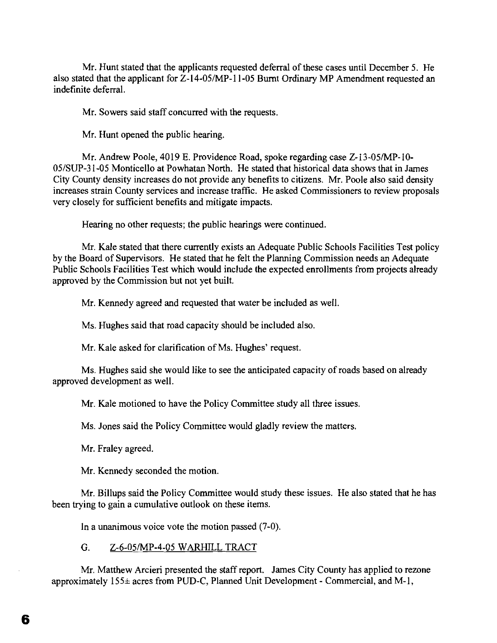Mr. Hunt stated that the applicants requested deferral of these cases until December 5. He also stated that the applicant for  $Z$ -14-05/MP-11-05 Burnt Ordinary MP Amendment requested an indefinite deferral.

Mr. Sowers said staff concurred with the requests.

Mr. Hunt opened the public hearing.

Mr. Andrew Poole, 4019 E. Providence Road, spoke regarding case Z-13-05/MP-10-05/SUP-31-05 Monticello at Powhatan North. He stated that historical data shows that in James City County density increases do not provide any benefits to citizens. Mr. Poole also said density increases strain County services and increase traffic. He asked Commissioners to review proposals very closely for sufficient benefits and mitigate impacts.

Hearing no other requests; the public hearings were continued.

Mr. Kale stated that there currently exists an Adequate Public Schools Facilities Test policy by the Board of Supervisors. He stated that he felt the Planning Commission needs an Adequate Public Schools Facilities Test which would include the expected enrollments from projects already approved by the Commission but not yet built.

Mr. Kennedy agreed and requested that water be included as well.

Ms. Hughes said that road capacity should be included also.

Mr. Kale asked for clarification of Ms. Hughes' request.

Ms. Hughes said she would like to see the anticipated capacity of roads based on already approved development as well.

Mr. Kale motioned to have the Policy Committee study all three issues.

Ms. Jones said the Policy Committee would gladly review the matters.

Mr. Fraley agreed.

Mr. Kennedy seconded the motion.

Mr. Billups said the Policy Committee would study these issues. He also stated that he has been trying to gain a cumulative outlook on these items.

In a unanimous voice vote the motion passed (7-0).

G. *Z-6-05IMP-4-05* WARHILL TRACT

Mr. Matthew Arcieri presented the staff report. James City County has applied to rezone approximately 155± acres from PUD-C, Planned Unit Development - Commercial, and M-l,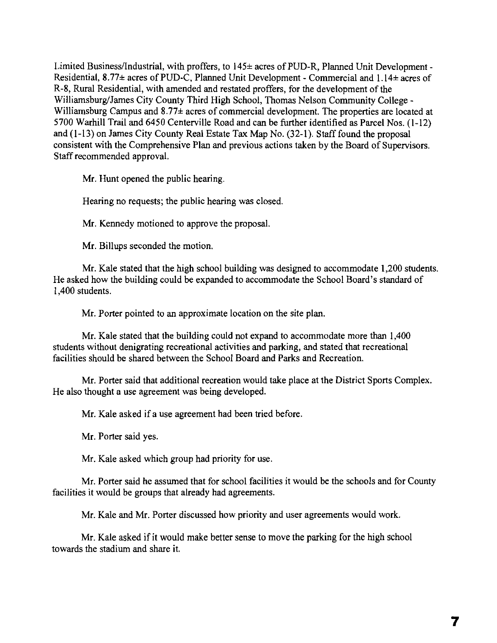Limited Business/Industrial, with proffers, to 145± acres of PUD-R, Planned Unit Development -Residential,  $8.77\pm$  acres of PUD-C, Planned Unit Development - Commercial and  $1.14\pm$  acres of R-8, Rural Residential, with amended and restated proffers, for the development of the Williamsburg/James City County Third High School, Thomas Nelson Community College - Williamsburg Campus and 8.77± acres of commercial development. The properties are located at 5700 Warhill Trail and 6450 Centerville Road and can be further identified as Parcel Nos. (1-12) and (1-13) on James City County Real Estate Tax Map No. (32-1). Staff found the proposal consistent with the Comprehensive Plan and previous actions taken by the Board of Supervisors. Staff recommended approval.

Mr. Hunt opened the public hearing.

Hearing no requests; the public hearing was closed.

Mr. Kennedy motioned to approve the proposal.

Mr. Billups seconded the motion.

Mr. Kale stated that the high school building was designed to accommodate 1,200 students. He asked how the building could be expanded to accommodate the School Board's standard of 1,400 students.

Mr. Porter pointed to an approximate location on the site plan.

Mr. Kale stated that the building could not expand to accommodate more than 1,400 students without denigrating recreational activities and parking, and stated that recreational facilities should be shared between the School Board and Parks and Recreation.

Mr. Porter said that additional recreation would take place at the District Sports Complex. He also thought a use agreement was being developed.

Mr. Kale asked if a use agreement had been tried before.

Mr. Porter said yes.

Mr. Kale asked which group had priority for use.

Mr. Porter said he assumed that for school facilities it would be the schools and for County facilities it would be groups that already had agreements.

Mr. Kale and Mr. Porter discussed how priority and user agreements would work.

Mr. Kale asked if it would make better sense to move the parking for the high school towards the stadium and share it.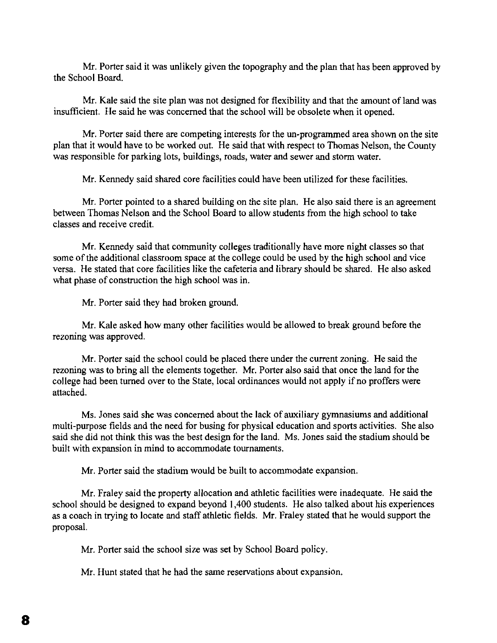Mr. Porter said it was unlikely given the topography and the plan that has been approved by the School Board.

Mr. Kale said the site plan was not designed for flexibility and that the amount of land was insufficient. He said he was concerned that the school will be obsolete when it opened.

Mr. Porter said there are competing interests for the un-programmed area shown on the site plan that it would have to be worked out. He said that with respect to Thomas Nelson, the County was responsible for parking lots, buildings, roads, water and sewer and storm water.

Mr. Kennedy said shared core facilities could have been utilized for these facilities.

Mr. Porter pointed to a shared building on the site plan. He also said there is an agreement between Thomas Nelson and the School Board to allow students from the high school to take classes and receive credit.

Mr. Kennedy said that community colleges traditionally have more night classes so that some of the additional classroom space at the college could be used by the high school and vice versa. He stated that core facilities like the cafeteria and library should be shared. He also asked what phase of construction the high school was in.

Mr. Porter said they had broken ground.

Mr. Kale asked how many other facilities would be allowed to break ground before the rezoning was approved.

Mr. Porter said the school could be placed there under the current zoning. He said the rezoning was to bring all the elements together. Mr. Porter also said that once the land for the college had been turned over to the State, local ordinances would not apply if no proffers were attached.

Ms. Jones said she was concerned about the lack of auxiliary gymnasiums and additional multi-purpose fields and the need for busing for physical education and sports activities. She also said she did not think this was the best design for the land. Ms. Jones said the stadium should be built with expansion in mind to accommodate tournaments.

Mr. Porter said the stadium would be built to accommodate expansion.

Mr. Fraley said the property allocation and athletic facilities were inadequate. He said the school should be designed to expand beyond 1,400 students. He also talked about his experiences as a coach in trying to locate and staff athletic fields. Mr. Fraley stated that he would support the proposal.

Mr. Porter said the school size was set by School Board policy.

Mr. Hunt stated that he had the same reservations about expansion.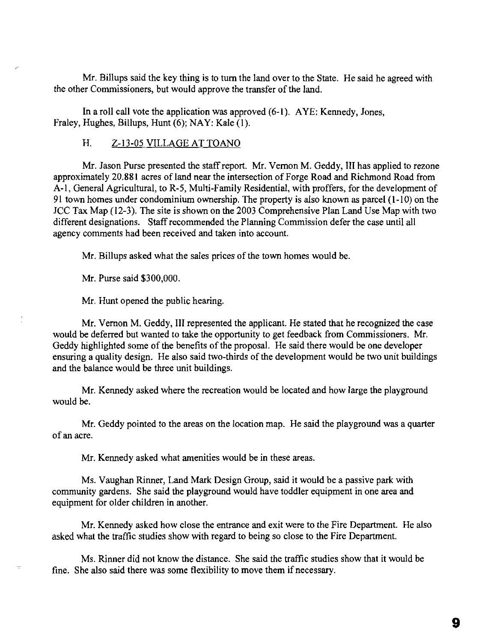Mr. Billups said the key thing is to tum the land over to the State. He said he agreed with the other Commissioners, but would approve the transfer of the land.

**In** a roll call vote the application was approved (6-1). AYE: Kennedy, Jones, Fraley, Hughes, Billups, Hunt (6); NAY: Kale (I).

## H. *l-13-05* VILLAGE AT TOANO

Mr. Jason Purse presented the staff report. Mr. Vernon M. Geddy, III has applied to rezone approximately 20.881 acres of land near the intersection of Forge Road and Richmond Road from A-I, General Agricultural, to R-5, Multi-Family Residential, with proffers, for the development of 91 town homes under condominium ownership. The property is also known as parcel (1-10) on the JCC Tax Map (12-3). The site is shown on the 2003 Comprehensive Plan Land Use Map with two different designations. Staff recommended the Planning Commission defer the case until all agency comments had been received and taken into account.

Mr. Billups asked what the sales prices of the town homes would be.

Mr. Purse said \$300,000.

Mr. Hunt opened the public hearing.

Mr. Vernon M. Geddy, III represented the applicant. He stated that he recognized the case would be deferred but wanted to take the opportunity to get feedback from Commissioners. Mr. Geddy highlighted some of the benefits of the proposal. He said there would be one developer ensuring a quality design. He also said two-thirds of the development would be two unit buildings and the balance would be three unit buildings.

Mr. Kennedy asked where the recreation would be located and how large the playground would be.

Mr. Geddy pointed to the areas on the location map. He said the playground was a quarter of an acre.

Mr. Kennedy asked what amenities would be in these areas.

Ms. Vaughan Rinner, Land Mark Design Group, said it would be a passive park with community gardens. She said the playground would have toddler equipment in one area and equipment for older children in another.

Mr. Kennedy asked how close the entrance and exit were to the Fire Department. He also asked what the traffic studies show with regard to being so close to the Fire Department.

Ms. Rinner did not know the distance. She said the traffic studies show that it would be fine. She also said there was some flexibility to move them if necessary.

9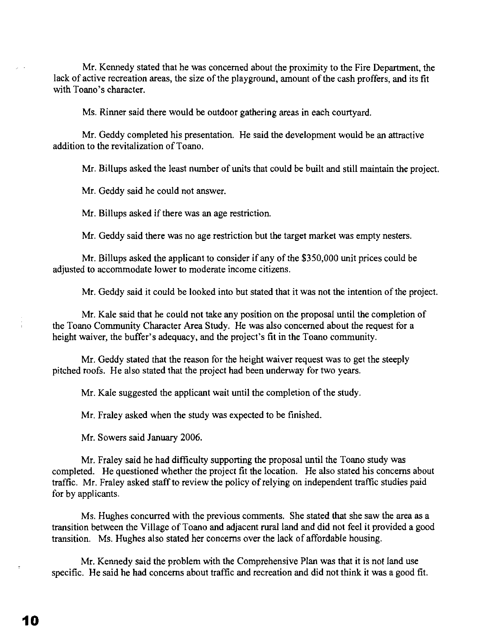Mr. Kennedy stated that he was concerned about the proximity to the Fire Department, the lack of active recreation areas, the size of the playground, amount of the cash proffers, and its fit with Toano's character.

Ms. Rinner said there would be outdoor gathering areas in each courtyard.

Mr. Geddy completed his presentation. He said the development would be an attractive addition to the revitalization of Toano.

Mr. Billups asked the least number of units that could be built and still maintain the project.

Mr. Geddy said he could not answer.

Mr. Billups asked if there was an age restriction.

Mr. Geddy said there was no age restriction but the target market was empty nesters.

Mr. Billups asked the applicant to consider if any of the \$350,000 unit prices could be adjusted to accommodate lower to moderate income citizens.

Mr. Geddy said it could be looked into but stated that it was not the intention of the project.

Mr. Kale said that he could not take any position on the proposal until the completion of the Toano Community Character Area Study. He was also concerned about the request for a height waiver, the buffer's adequacy, and the project's fit in the Toano community.

Mr. Geddy stated that the reason for the height waiver request was to get the steeply pitched roofs. He also stated that the project had been underway for two years.

Mr. Kale suggested the applicant wait until the completion of the study.

Mr. Fraley asked when the study was expected to be finished.

Mr. Sowers said January 2006.

Mr. Fraley said he had difficulty supporting the proposal until the Toano study was completed. He questioned whether the project fit the location. He also stated his concerns about traffic. Mr. Fraley asked staff to review the policy of relying on independent traffic studies paid for by applicants.

Ms. Hughes concurred with the previous comments. She stated that she saw the area as a transition between the Village of Toano and adjacent rural land and did not feel it provided a good transition. Ms. Hughes also stated her concerns over the lack of affordable housing.

Mr. Kennedy said the problem with the Comprehensive Plan was that it is not land use specific. He said he had concerns about traffic and recreation and did not think it was a good fit.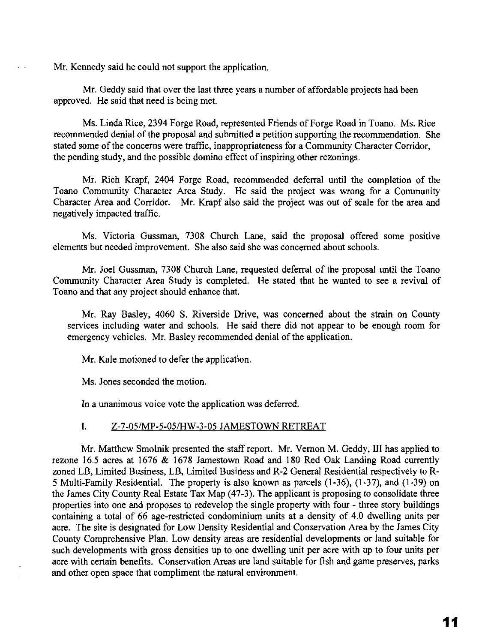Mr. Kennedy said he could not support the application.

Mr. Geddy said that over the last three years a number of affordable projects had been approved. He said that need is being met.

Ms. Linda Rice, 2394 Forge Road, represented Friends of Forge Road in Toano. Ms. Rice recommended denial of the proposal and submitted a petition supporting the recommendation. She stated some of the concerns were traffic, inappropriateness for a Community Character Corridor, the pending study, and the possible domino effect of inspiring other rezonings.

Mr. Rich Krapf, 2404 Forge Road, recommended deferral until the completion of the Toano Community Character Area Study. He said the project was wrong for a Community Character Area and Corridor. Mr. Krapf also said the project was out of scale for the area and negatively impacted traffic.

Ms. Victoria Gussman, 7308 Church Lane, said the proposal offered some positive elements but needed improvement. She also said she was concerned about schools.

Mr. Joel Gussman, 7308 Church Lane, requested deferral of the proposal until the Toano Community Character Area Study is completed. He stated that he wanted to see a revival of Toano and that any project should enhance that.

Mr. Ray Basley, 4060 S. Riverside Drive, was concerned about the strain on County services including water and schools. He said there did not appear to be enough room for emergency vehicles. Mr. Basley recommended denial of the application.

Mr. Kale motioned to defer the application.

Ms. Jones seconded the motion.

In a unanimous voice vote the application was deferred.

# I. Z-7-05/MP-5-05/HW-3-05 JAMESTOWN RETREAT

Mr. Matthew Smolnik presented the staff report. Mr. Vernon M. Geddy, III has applied to rezone 16.5 acres at 1676 & 1678 Jamestown Road and 180 Red Oak Landing Road currently zoned LB, Limited Business, LB, Limited Business and R-2 General Residential respectively to R-5 Multi-Family Residential. The property is also known as parcels (1-36), (1-37), and (1-39) on the James City County Real Estate Tax Map (47-3). The applicant is proposing to consolidate three properties into one and proposes to redevelop the single property with four - three story buildings containing a total of 66 age-restricted condominium units at a density of 4.0 dwelling units per acre. The site is designated for Low Density Residential and Conservation Area by the James City County Comprehensive Plan. Low density areas are residential developments or land suitable for such developments with gross densities up to one dwelling unit per acre with up to four units per acre with certain benefits. Conservation Areas are land suitable for fish and game preserves, parks and other open space that compliment the natural environment.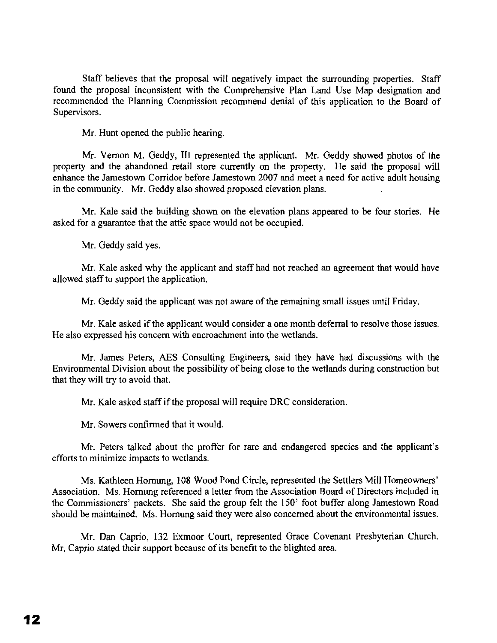Staff believes that the proposal will negatively impact the surrounding properties. Staff found the proposal inconsistent with the Comprehensive Plan Land Use Map designation and recommended the Planning Commission recommend denial of this application to the Board of Supervisors.

Mr. Hunt opened the public hearing.

Mr. Vernon M. Geddy, III represented the applicant. Mr. Geddy showed photos of the property and the abandoned retail store currently on the property. He said the proposal will enhance the Jamestown Corridor before Jamestown 2007 and meet a need for active adult housing in the community. Mr. Geddy also showed proposed elevation plans.

Mr. Kale said the building shown on the elevation plans appeared to be four stories. He asked for a guarantee that the attic space would not be occupied.

Mr. Geddy said yes.

Mr. Kale asked why the applicant and staff had not reached an agreement that would have allowed staff to support the application.

Mr. Geddy said the applicant was not aware of the remaining small issues until Friday.

Mr. Kale asked if the applicant would consider a one month deferral to resolve those issues. He also expressed his concern with encroachment into the wetlands.

Mr. James Peters, AES Consulting Engineers, said they have had discussions with the Environmental Division about the possibility of being close to the wetlands during construction but that they will try to avoid that.

Mr. Kale asked staff if the proposal will require DRC consideration.

Mr. Sowers confirmed that it would.

Mr. Peters talked about the proffer for rare and endangered species and the applicant's efforts to minimize impacts to wetlands.

Ms. Kathleen Hornung, 108 Wood Pond Circle, represented the Settlers Mill Homeowners' Association. Ms. Hornung referenced a letter from the Association Board of Directors included in the Commissioners' packets. She said the group felt the 150' foot buffer along Jamestown Road should be maintained. Ms. Hornung said they were also concerned about the environmental issues.

Mr. Dan Caprio, 132 Exmoor Court, represented Grace Covenant Presbyterian Church. Mr. Caprio stated their support because of its benefit to the blighted area.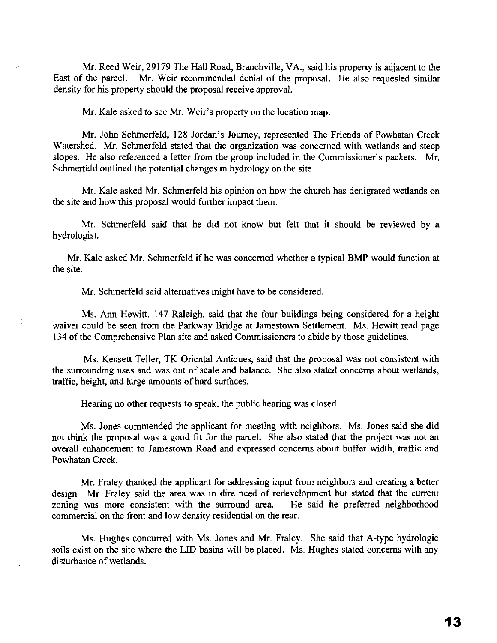Mr. Reed Weir, 29179 The Hall Road, Branchville, VA., said his property is adjacent to the East of the parcel. Mr. Weir recommended denial of the proposal. He also requested similar density for his property should the proposal receive approval.

Mr. Kale asked to see Mr. Weir's property on the location map.

Mr. John Schmerfeld, 128 Jordan's Journey, represented The Friends of Powhatan Creek Watershed. Mr. Schmerfeld stated that the organization was concerned with wetlands and steep slopes. He also referenced a letter from the group included in the Commissioner's packets. Mr. Schmerfeld outlined the potential changes in hydrology on the site.

Mr. Kale asked Mr. Schmerfeld his opinion on how the church has denigrated wetlands on the site and how this proposal would further impact them.

Mr. Schmerfeld said that he did not know but felt that it should be reviewed by a hydrologist.

Mr. Kale asked Mr. Schmerfeld ifhe was concerned whether a typical BMP would function at the site.

Mr. Schmerfeld said alternatives might have to be considered.

Ms. Ann Hewitt, 147 Raleigh, said that the four buildings being considered for a height waiver could be seen from the Parkway Bridge at Jamestown Settlement. Ms. Hewitt read page 134 of the Comprehensive Plan site and asked Commissioners to abide by those guidelines.

Ms. Kensett Teller, TK Oriental Antiques, said that the proposal was not consistent with the surrounding uses and was out of scale and balance. She also stated concerns about wetlands, traffic, height, and large amounts of hard surfaces.

Hearing no other requests to speak, the public hearing was closed.

Ms. Jones commended the applicant for meeting with neighbors. Ms. Jones said she did not think the proposal was a good fit for the parcel. She also stated that the project was not an overall enhancement to Jamestown Road and expressed concerns about buffer width, traffic and Powhatan Creek.

Mr. Fraley thanked the applicant for addressing input from neighbors and creating a better design. Mr. Fraley said the area was in dire need of redevelopment but stated that the current zoning was more consistent with the surround area. He said he preferred neighborhood commercial on the front and low density residential on the rear.

Ms. Hughes concurred with Ms. Jones and Mr. Fraley. She said that A-type hydrologic soils exist on the site where the LID basins will be placed. Ms. Hughes stated concerns with any disturbance of wetlands.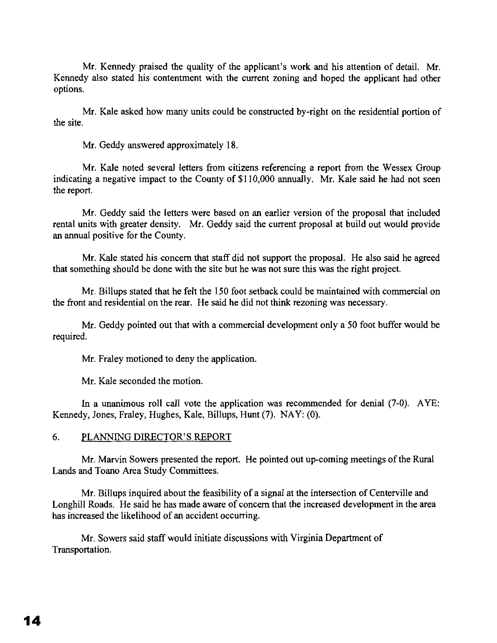Mr. Kennedy praised the quality of the applicant's work and his attention of detail. Mr. Kennedy also stated his contentment with the current zoning and hoped the applicant had other options.

Mr. Kale asked how many units could be constructed by-right on the residential portion of the site.

Mr. Geddy answered approximately 18.

Mr. Kale noted several letters from citizens referencing a report from the Wessex Group indicating a negative impact to the County of \$110,000 annually. Mr. Kale said he had not seen the report.

Mr. Geddy said the letters were based on an earlier version of the proposal that included rental units with greater density. Mr. Geddy said the current proposal at build out would provide an annual positive for the County.

Mr. Kale stated his concern that staff did not support the proposal. He also said he agreed that something should be done with the site but he was not sure this was the right project.

Mr. Billups stated that he felt the ISO foot setback could be maintained with commercial on the front and residential on the rear. He said he did not think rezoning was necessary.

Mr. Geddy pointed out that with a commercial development only a 50 foot buffer would be required.

Mr. Fraley motioned to deny the application.

Mr. Kale seconded the motion.

**In** a unanimous roll call vote the application was recommended for denial (7-0). AYE: Kennedy, Jones, Fraley, Hughes, Kale, Billups, Hunt (7). NAY: (0).

## 6. PLANNING DIRECTOR'S REPORT

Mr. Marvin Sowers presented the report. He pointed out up-coming meetings of the Rural Lands and Toano Area Study Committees.

Mr. Billups inquired about the feasibility of a signal at the intersection of Centerville and Longhill Roads. He said he has made aware of concern that the increased development in the area has increased the likelihood of an accident occurring.

Mr. Sowers said staff would initiate discussions with Virginia Department of Transportation.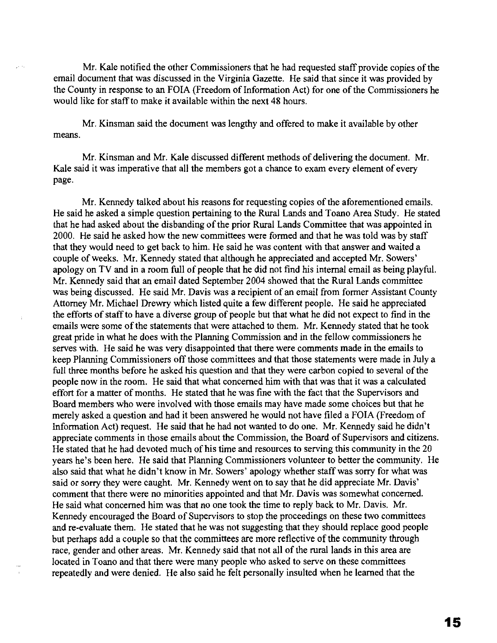Mr. Kale notified the other Commissioners that he had requested staff provide copies of the email document that was discussed in the Virginia Gazette. He said that since it was provided by the County in response to an FOIA (Freedom of Information Act) for one of the Commissioners he would like for staff to make it available within the next 48 hours.

Mr. Kinsman said the document was lengthy and offered to make it available by other means.

Mr. Kinsman and Mr. Kale discussed different methods of delivering the document. Mr. Kale said it was imperative that all the members got a chance to exam every element of every page.

Mr. Kennedy talked about his reasons for requesting copies of the aforementioned emails. He said he asked a simple question pertaining to the Rural Lands and Toano Area Study. He stated that he had asked about the disbanding of the prior Rural Lands Committee that was appointed in 2000. He said he asked how the new committees were formed and that he was told was by staff that they would need to get back to him. He said he was content with that answer and waited a couple of weeks. Mr. Kennedy stated that although he appreciated and accepted Mr. Sowers' apology on TV and in a room full of people that he did not find his internal email as being playful. Mr. Kennedy said that an email dated September 2004 showed that the Rural Lands committee was being discussed. He said Mr. Davis was a recipient of an email from former Assistant County Attorney Mr. Michael Drewry which listed quite a few different people. He said he appreciated the efforts of staff to have a diverse group of people but that what he did not expect to find in the emails were some of the statements that were attached to them. Mr. Kennedy stated that he took great pride in what he does with the Planning Commission and in the fellow commissioners he serves with. He said he was very disappointed that there were comments made in the emails to keep Planning Commissioners off those committees and that those statements were made in July a full three months before he asked his question and that they were carbon copied to several of the people now in the room. He said that what concerned him with that was that it was a calculated effort for a matter of months. He stated that he was fine with the fact that the Supervisors and Board members who were involved with those emails may have made some choices but that he merely asked a question and had it been answered he would not have filed a FOIA (Freedom of Information Act) request. He said that he had not wanted to do one. Mr. Kennedy said he didn't appreciate comments in those emails about the Commission, the Board of Supervisors and citizens. He stated that he had devoted much of his time and resources to serving this community in the 20 years he's been here. He said that Planning Commissioners volunteer to better the community. He also said that what he didn't know in Mr. Sowers' apology whether staff was sorry for what was said or sorry they were caught. Mr. Kennedy went on to say that he did appreciate Mr. Davis' comment that there were no minorities appointed and that Mr. Davis was somewhat concerned. He said what concerned him was that no one took the time to reply back to Mr. Davis. Mr. Kennedy encouraged the Board of Supervisors to stop the proceedings on these two committees and re-evaluate them. He stated that he was not suggesting that they should replace good people but perhaps add a couple so that the committees are more reflective of the community through race, gender and other areas. Mr. Kennedy said that not all of the rural lands in this area are located in Toano and that there were many people who asked to serve on these committees repeatedly and were denied. He also said he felt personally insulted when he learned that the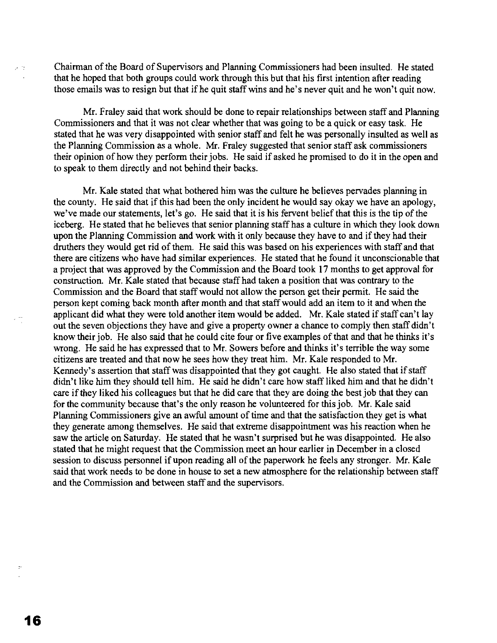Chairman of the Board of Supervisors and Planning Commissioners had been insulted. He stated that he hoped that both groups could work through this but that his first intention after reading those emails was to resign but that if he quit staff wins and he's never quit and he won't quit now.

Mr. Fraley said that work should be done to repair relationships between staff and Planning Commissioners and that it was not clear whether that was going to be a quick or easy task. He stated that he was very disappointed with senior staff and felt he was personally insulted as well as the Planning Commission as a whole. Mr. Fraley suggested that senior staff ask commissioners their opinion of how they perform their jobs. He said if asked he promised to do it in the open and to speak to them directly and not behind their backs.

Mr. Kale stated that what bothered him was the culture he believes pervades planning in the county. He said that if this had been the only incident he would say okay we have an apology, we've made our statements, let's go. He said that it is his fervent belief that this is the tip of the iceberg. He stated that he believes that senior planning staff has a culture in which they look down upon the Planning Commission and work with it only because they have to and if they had their druthers they would get rid of them. He said this was based on his experiences with staff and that there are citizens who have had similar experiences. He stated that he found it unconscionable that a project that was approved by the Commission and the Board took 17 months to get approval for construction. Mr. Kale stated that because staff had taken a position that was contrary to the Commission and the Board that staffwould not allow the person get their permit. He said the person kept coming back month after month and that staffwould add an item to it and when the applicant did what they were told another item would be added. Mr. Kale stated if staff can't lay out the seven objections they have and give a property owner a chance to comply then staff didn't know their job. He also said that he could cite four or five examples of that and that he thinks it's wrong. He said he has expressed that to Mr. Sowers before and thinks it's terrible the way some citizens are treated and that now he sees how they treat him. Mr. Kale responded to Mr. Kennedy's assertion that staff was disappointed that they got caught. He also stated that if staff didn't like him they should tell him. He said he didn't care how staff liked him and that he didn't care if they liked his colleagues but that he did care that they are doing the best job that they can for the community because that's the only reason he volunteered for this job. Mr. Kale said Planning Commissioners give an awful amount of time and that the satisfaction they get is what they generate among themselves. He said that extreme disappointment was his reaction when he saw the article on Saturday. He stated that he wasn't surprised but he was disappointed. He also stated that he might request that the Commission meet an hour earlier in December in a closed session to discuss personnel if upon reading all of the paperwork he feels any stronger. Mr. Kale said that work needs to be done in house to set a new atmosphere for the relationship between staff and the Commission and between staff and the supervisors.

 $\mathcal{L}$  in